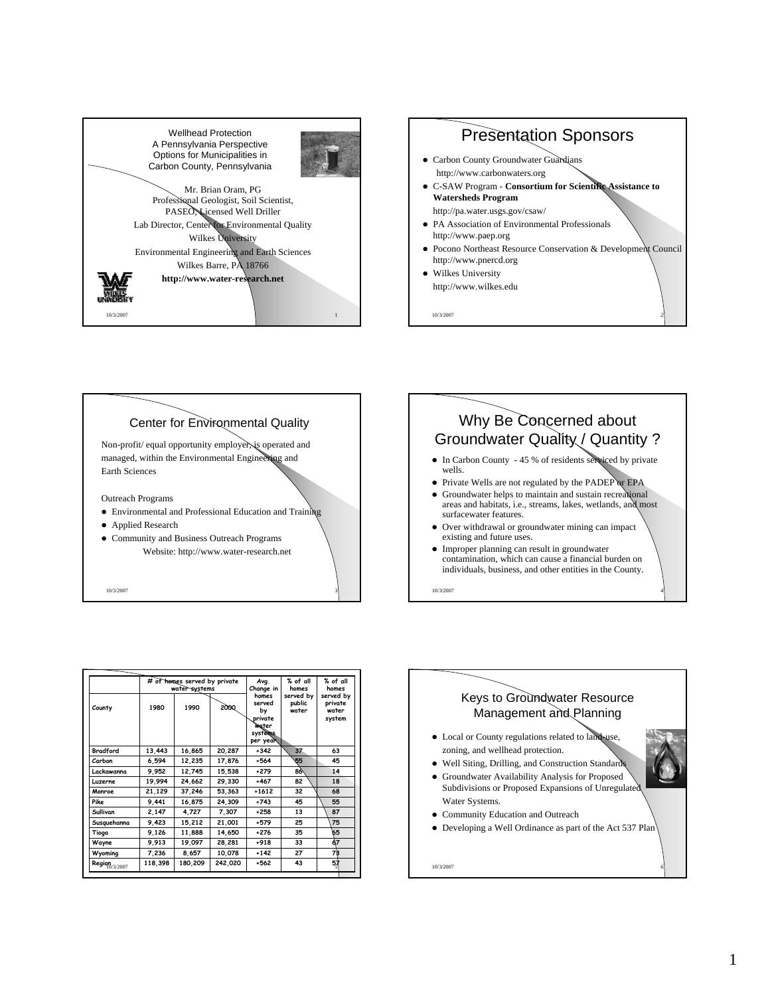





10/3/2007 3



- Over withdrawal or groundwater mining can impact existing and future uses.
- Improper planning can result in groundwater contamination, which can cause a financial burden on individuals, business, and other entities in the County.

10/3/2007 4

|                          | # of homes served by private<br>water systems |         |             | Avg.<br>Change in                                                       | % of all<br>homes            | % of all<br>homes                       |
|--------------------------|-----------------------------------------------|---------|-------------|-------------------------------------------------------------------------|------------------------------|-----------------------------------------|
| County                   | 1980                                          | 1990    | <b>2000</b> | homes<br>served<br>bv<br>private<br>Water<br><i>systems</i><br>per year | served by<br>public<br>water | served by<br>private<br>water<br>system |
| <b>Bradford</b>          | 13,443                                        | 16,865  | 20,287      | $+342$                                                                  | 37                           | 63                                      |
| Carbon                   | 6,594                                         | 12,235  | 17,876      | $+564$                                                                  | 55                           | 45                                      |
| Lackawanna               | 9.952                                         | 12,745  | 15,538      | $+279$                                                                  | 86                           | 14                                      |
| Luzerne                  | 19.994                                        | 24,662  | 29.330      | +467                                                                    | 82                           | 18                                      |
| Monroe                   | 21.129                                        | 37.246  | 53.363      | $+1612$                                                                 | 32                           | 68                                      |
| Pike                     | 9.441                                         | 16.875  | 24,309      | $+743$                                                                  | 45                           | 55                                      |
| Sullivan                 | 2,147                                         | 4,727   | 7,307       | $+258$                                                                  | 13                           | 87                                      |
| Susquehanna              | 9,423                                         | 15,212  | 21,001      | +579                                                                    | 25                           | 75                                      |
| Tioga                    | 9,126                                         | 11,888  | 14.650      | $+276$                                                                  | 35                           | 65                                      |
| Wayne                    | 9.913                                         | 19,097  | 28,281      | $+918$                                                                  | 33                           | 67                                      |
| Wyoming                  | 7,236                                         | 8,657   | 10,078      | $+142$                                                                  | 27                           | 73                                      |
| $\text{Regiqn}_{3/2007}$ | 118,398                                       | 180,209 | 242,020     | $+562$                                                                  | 43                           | 57                                      |

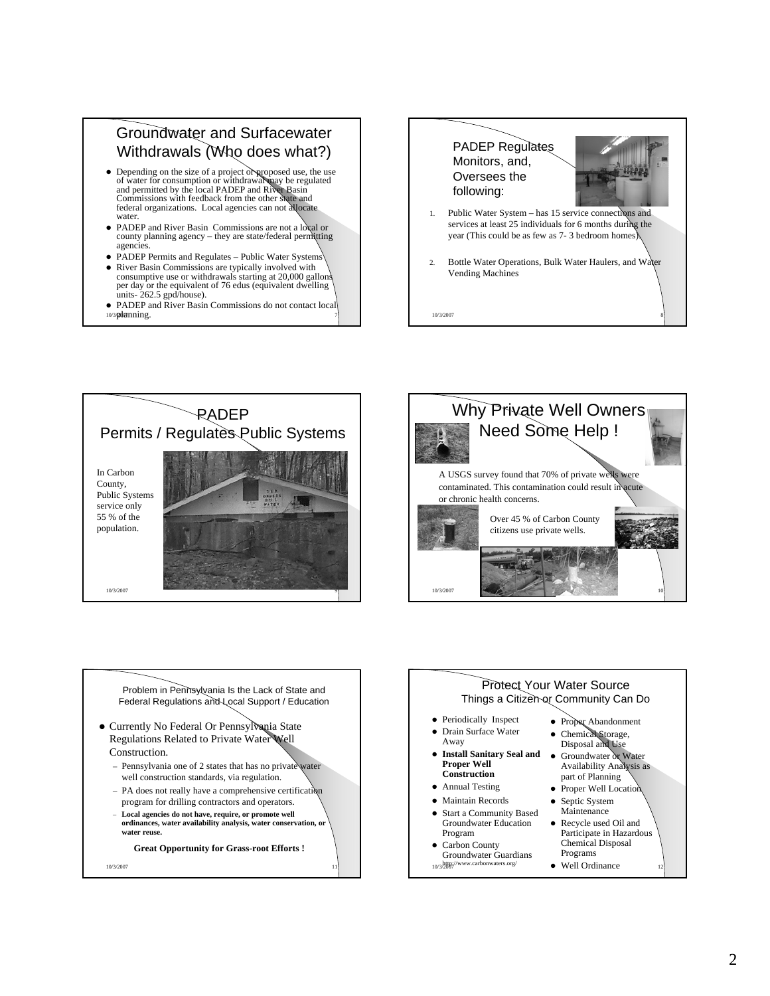## Groundwater and Surfacewater and Surfacewater Withdrawals (Who does what?)

- Depending on the size of a project or proposed use, the use<br>of water for consumption or withdrawal may be regulated<br>and permitted by the local PADEP and River Basin<br>Commissions with feedback from the other shate and<br>fed water.
- PADEP and River Basin Commissions are not a local or county planning agency they are state/federal permitting agencie
- PADEP Permits and Regulates Public Water Systems
- River Basin Commissions are typically involved with consumptive use or withdrawals starting at 20,000 gallons per day or the equivalent of 76 edus (equivalent dwelling units- 262.5 gpd/house).
- 10/3planning. • PADEP and River Basin Commissions do not contact local







Problem in Pennsylvania Is the Lack of State and Federal Regulations and Local Support / Education

- Currently No Federal Or Pennsylvania State Regulations Related to Private Water Well Construction.
	- Pennsylvania one of 2 states that has no private well construction standards, via regulation.
	- PA does not really have a comprehensive certification program for drilling contractors and operators.
	- **Local agencies do not have, require, or promote well ordinances, water availability analysis, water conservation, or water reuse.**

**Great Opportunity for Grass-root Efforts !**

10/3/2007 11

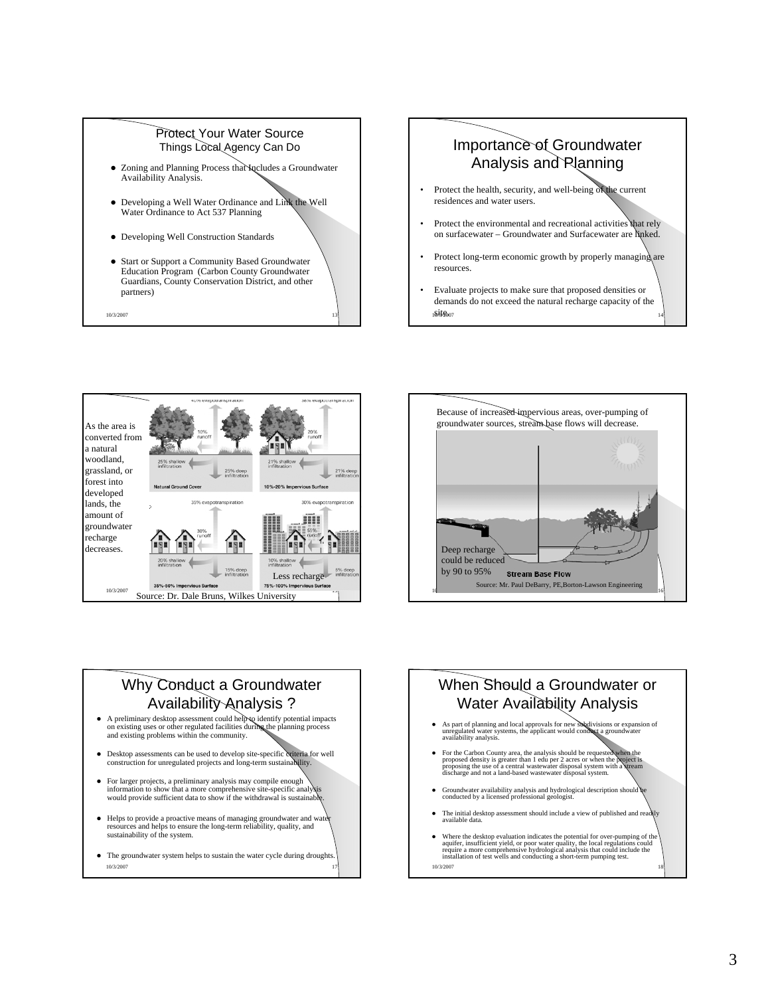

## Importance of Groundwater Analysis and Planning

- Protect the health, security, and well-being of the current residences and water users.
- Protect the environmental and recreational activities that rely on surfacewater – Groundwater and Surfacewater are linked.
- Protect long-term economic growth by properly managing are resources.
- 1**0/3/20**07 14 • Evaluate projects to make sure that proposed densities or demands do not exceed the natural recharge capacity of the site.





## Why Conduct a Groundwater Availability Analysis ?

- A preliminary desktop assessment could help to identify potential impacts on existing uses or other regulated facilities during the planning process and existing problems within the community.
- Desktop assessments can be used to develop site-specific criteria for well construction for unregulated projects and long-term sustainability.
- For larger projects, a preliminary analysis may compile enough information to show that a more comprehensive site-specific analysis would provide sufficient data to show if the withdrawal is sustainable.
- Helps to provide a proactive means of managing groundwater and water resources and helps to ensure the long-term reliability, quality, and sustainability of the system.
- 10/3/2007 **10/3/2007** • The groundwater system helps to sustain the water cycle during droughts.

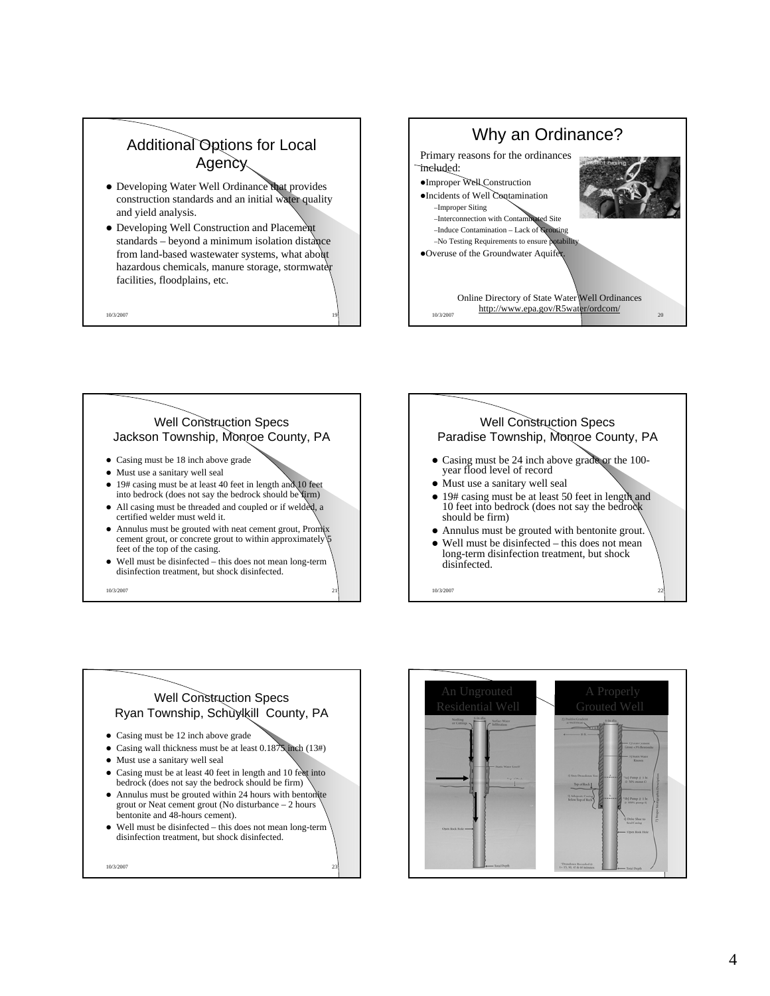



- Must use a sanitary well seal
- 19# casing must be at least 40 feet in length and 10 feet into bedrock (does not say the bedrock should be firm)
- All casing must be threaded and coupled or if welded, a certified welder must weld it.
- $\bullet$  Annulus must be grouted with neat cement grout, Promix cement grout, or concrete grout to within approximately 5 feet of the top of the casing.
- Well must be disinfected this does not mean long-term disinfection treatment, but shock disinfected.

10/3/2007 21



Well Construction Specs Ryan Township, Schuylkill County, PA

- Casing must be 12 inch above grade
- Casing wall thickness must be at least  $0.1875$  inch (13#)
- Must use a sanitary well seal
- Casing must be at least 40 feet in length and 10 feet into bedrock (does not say the bedrock should be firm)
- Annulus must be grouted within 24 hours with bentonite grout or Neat cement grout (No disturbance – 2 hours bentonite and 48-hours cement).
- $\bullet$  Well must be disinfected this does not mean long-term disinfection treatment, but shock disinfected.

10/3/2007 23

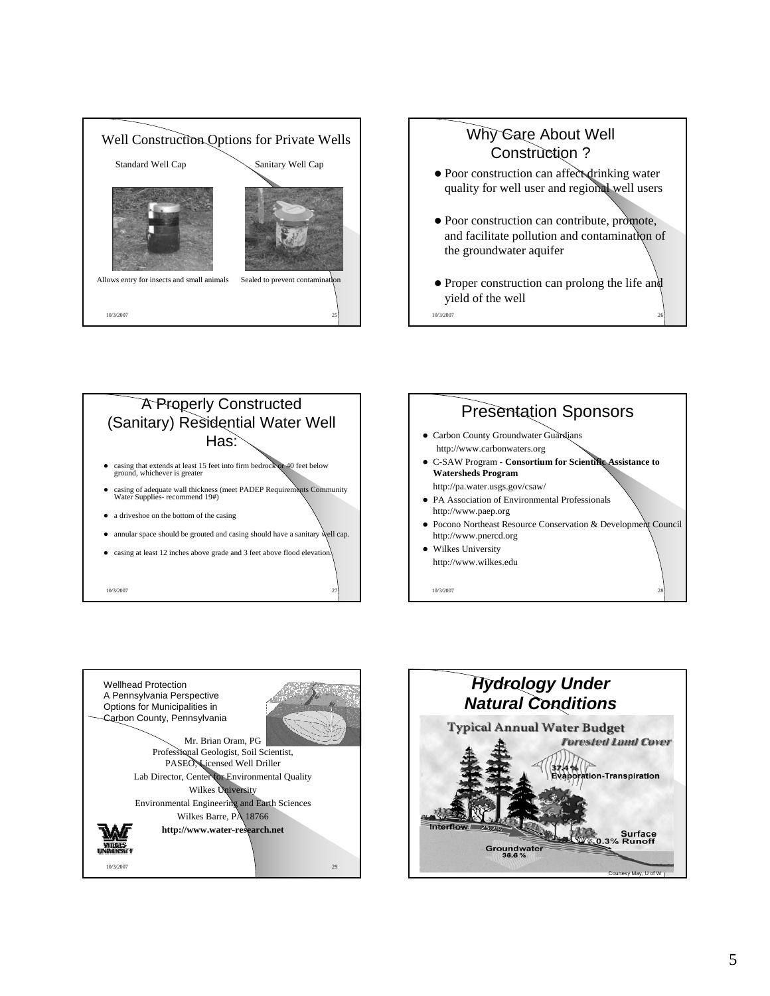